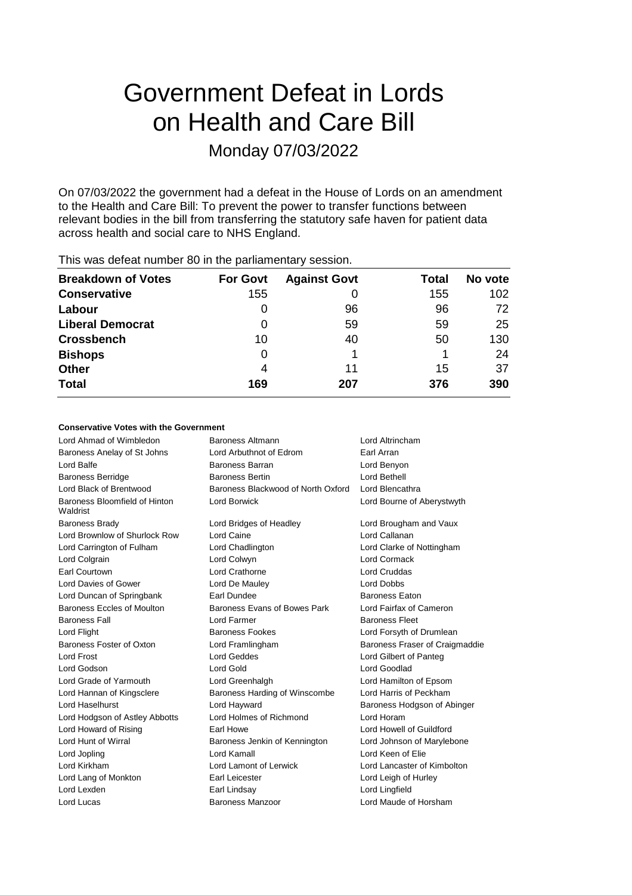# Government Defeat in Lords on Health and Care Bill Monday 07/03/2022

On 07/03/2022 the government had a defeat in the House of Lords on an amendment to the Health and Care Bill: To prevent the power to transfer functions between relevant bodies in the bill from transferring the statutory safe haven for patient data across health and social care to NHS England.

| <b>Breakdown of Votes</b> | <b>For Govt</b> | <b>Against Govt</b> | Total | No vote |
|---------------------------|-----------------|---------------------|-------|---------|
| <b>Conservative</b>       | 155             |                     | 155   | 102     |
| Labour                    |                 | 96                  | 96    | 72      |
| <b>Liberal Democrat</b>   |                 | 59                  | 59    | 25      |
| <b>Crossbench</b>         | 10              | 40                  | 50    | 130     |
| <b>Bishops</b>            | 0               |                     |       | 24      |
| <b>Other</b>              | 4               | 11                  | 15    | 37      |
| <b>Total</b>              | 169             | 207                 | 376   | 390     |
|                           |                 |                     |       |         |

This was defeat number 80 in the parliamentary session.

### **Conservative Votes with the Government**

| Lord Ahmad of Wimbledon                   | <b>Baroness Altmann</b>            | Lord Altrincham                |
|-------------------------------------------|------------------------------------|--------------------------------|
| Baroness Anelay of St Johns               | Lord Arbuthnot of Edrom            | Earl Arran                     |
| Lord Balfe                                | Baroness Barran                    | Lord Benyon                    |
| <b>Baroness Berridge</b>                  | <b>Baroness Bertin</b>             | Lord Bethell                   |
| Lord Black of Brentwood                   | Baroness Blackwood of North Oxford | Lord Blencathra                |
| Baroness Bloomfield of Hinton<br>Waldrist | <b>Lord Borwick</b>                | Lord Bourne of Aberystwyth     |
| <b>Baroness Brady</b>                     | Lord Bridges of Headley            | Lord Brougham and Vaux         |
| Lord Brownlow of Shurlock Row             | Lord Caine                         | Lord Callanan                  |
| Lord Carrington of Fulham                 | Lord Chadlington                   | Lord Clarke of Nottingham      |
| Lord Colgrain                             | Lord Colwyn                        | Lord Cormack                   |
| Earl Courtown                             | Lord Crathorne                     | Lord Cruddas                   |
| Lord Davies of Gower                      | Lord De Mauley                     | <b>Lord Dobbs</b>              |
| Lord Duncan of Springbank                 | Earl Dundee                        | <b>Baroness Eaton</b>          |
| <b>Baroness Eccles of Moulton</b>         | Baroness Evans of Bowes Park       | Lord Fairfax of Cameron        |
| <b>Baroness Fall</b>                      | Lord Farmer                        | <b>Baroness Fleet</b>          |
| Lord Flight                               | <b>Baroness Fookes</b>             | Lord Forsyth of Drumlean       |
| Baroness Foster of Oxton                  | Lord Framlingham                   | Baroness Fraser of Craigmaddie |
| Lord Frost                                | Lord Geddes                        | Lord Gilbert of Panteg         |
| Lord Godson                               | Lord Gold                          | Lord Goodlad                   |
| Lord Grade of Yarmouth                    | Lord Greenhalgh                    | Lord Hamilton of Epsom         |
| Lord Hannan of Kingsclere                 | Baroness Harding of Winscombe      | Lord Harris of Peckham         |
| Lord Haselhurst                           | Lord Hayward                       | Baroness Hodgson of Abinger    |
| Lord Hodgson of Astley Abbotts            | Lord Holmes of Richmond            | Lord Horam                     |
| Lord Howard of Rising                     | Earl Howe                          | Lord Howell of Guildford       |
| Lord Hunt of Wirral                       | Baroness Jenkin of Kennington      | Lord Johnson of Marylebone     |
| Lord Jopling                              | Lord Kamall                        | Lord Keen of Flie              |
| Lord Kirkham                              | Lord Lamont of Lerwick             | Lord Lancaster of Kimbolton    |
| Lord Lang of Monkton                      | Earl Leicester                     | Lord Leigh of Hurley           |
| Lord Lexden                               | Earl Lindsay                       | Lord Lingfield                 |
| Lord Lucas                                | Baroness Manzoor                   | Lord Maude of Horsham          |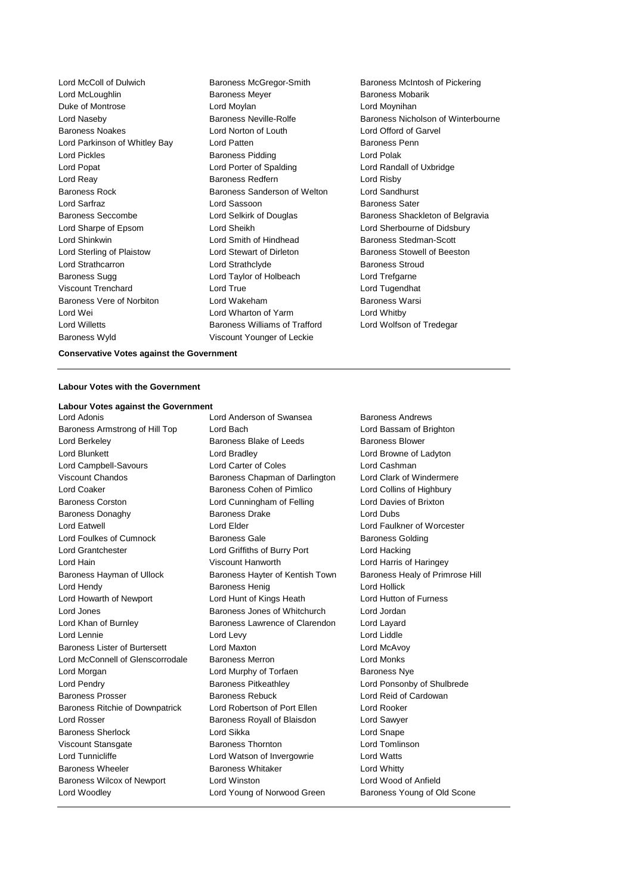Lord McLoughlin **Baroness Meyer** Baroness Meyer **Baroness Mobarik** Duke of Montrose Lord Moylan Lord Moynihan Baroness Noakes Lord Norton of Louth Lord Offord of Garvel Lord Parkinson of Whitley Bay **Lord Patten Communist Communist Parkinson Communist Parkinson Communist Parkinson** Lord Pickles Baroness Pidding Lord Polak Lord Popat Lord Porter of Spalding Lord Randall of Uxbridge Lord Reay Baroness Redfern Lord Risby Baroness Rock Baroness Sanderson of Welton Lord Sandhurst<br>
Lord Sarfraz **Baroness Sanderson** Baroness Sater Lord Sharpe of Epsom Lord Sheikh Lord Sherbourne of Didsbury Lord Shinkwin **Lord Smith of Hindhead** Baroness Stedman-Scott Lord Sterling of Plaistow **Lord Stewart of Dirleton** Baroness Stowell of Beeston Lord Strathcarron Lord Strathclyde Baroness Stroud Baroness Sugg Lord Taylor of Holbeach Lord Trefgarne Viscount Trenchard Lord True Lord Tugendhat Baroness Vere of Norbiton Lord Wakeham Baroness Warsi Lord Wei **Lord Wharton of Yarm** Cord Whatby Lord Whitby Lord Willetts **Baroness Williams of Trafford** Lord Wolfson of Tredegar Baroness Wyld Viscount Younger of Leckie

**Lord Sassoon** Baroness Sater

Lord McColl of Dulwich **Baroness McGregor-Smith** Baroness McIntosh of Pickering Lord Naseby **Baroness Neville-Rolfe** Baroness Nicholson of Winterbourne Baroness Seccombe **Lord Selkirk of Douglas** Baroness Shackleton of Belgravia

**Conservative Votes against the Government**

#### **Labour Votes with the Government**

#### **Labour Votes against the Government**

Baroness Armstrong of Hill Top Lord Bach Lord Bassam of Brighton Lord Berkeley **Baroness Blake of Leeds** Baroness Blower Lord Blunkett Lord Bradley Lord Browne of Ladyton Lord Campbell-Savours Lord Carter of Coles Lord Cashman Viscount Chandos **Baroness Chapman of Darlington** Lord Clark of Windermere Lord Coaker **Baroness Cohen of Pimlico** Lord Collins of Highbury Baroness Corston Lord Cunningham of Felling Lord Davies of Brixton Baroness Donaghy Baroness Drake Lord Dubs Lord Eatwell Lord Elder Lord Faulkner of Worcester Lord Foulkes of Cumnock Baroness Gale Baroness Gale Baroness Golding Lord Grantchester Lord Griffiths of Burry Port Lord Hacking Lord Hain Viscount Hanworth Lord Harris of Haringey Baroness Hayman of Ullock Baroness Hayter of Kentish Town Baroness Healy of Primrose Hill Lord Hendy Baroness Henig Lord Hollick Lord Howarth of Newport Lord Hunt of Kings Heath Lord Hutton of Furness Lord Jones Baroness Jones of Whitchurch Lord Jordan Lord Khan of Burnley Baroness Lawrence of Clarendon Lord Layard Lord Lennie **Lord Levy** Lord Lord Lord Lord Liddle Baroness Lister of Burtersett Lord Maxton Lord McAvoy Lord McConnell of Glenscorrodale Baroness Merron Lord Monks Lord Morgan **Lord Murphy of Torfaen** Baroness Nye Lord Pendry Baroness Pitkeathley Lord Ponsonby of Shulbrede Baroness Prosser Baroness Rebuck Lord Reid of Cardowan Baroness Ritchie of Downpatrick Lord Robertson of Port Ellen Lord Rooker Lord Rosser Baroness Royall of Blaisdon Lord Sawyer Baroness Sherlock **Lord Sikka** Lord Sikka Lord Snape Viscount Stansgate **Baroness Thornton Baroness Thornton** Lord Tomlinson Lord Tunnicliffe **Lord Watson of Invergowrie** Lord Watts Baroness Wheeler **Baroness Whitaker** Lord Whitty Baroness Wilcox of Newport Lord Winston Lord Wood of Anfield Lord Woodley **Lord Young of Norwood Green** Baroness Young of Old Scone

Lord Adonis Lord Anderson of Swansea Baroness Andrews